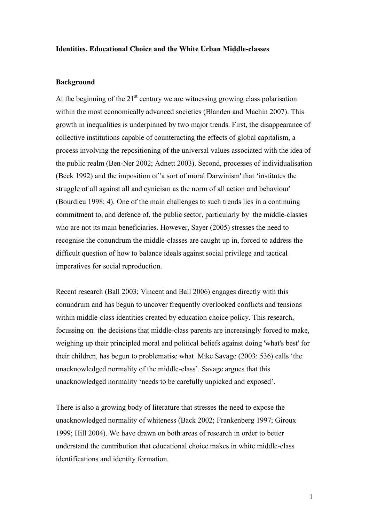#### **Identities, Educational Choice and the White Urban Middle-classes**

#### **Background**

At the beginning of the  $21<sup>st</sup>$  century we are witnessing growing class polarisation within the most economically advanced societies (Blanden and Machin 2007). This growth in inequalities is underpinned by two major trends. First, the disappearance of collective institutions capable of counteracting the effects of global capitalism, a process involving the repositioning of the universal values associated with the idea of the public realm (Ben-Ner 2002; Adnett 2003). Second, processes of individualisation (Beck 1992) and the imposition of 'a sort of moral Darwinism' that 'institutes the struggle of all against all and cynicism as the norm of all action and behaviour' (Bourdieu 1998: 4). One of the main challenges to such trends lies in a continuing commitment to, and defence of, the public sector, particularly by the middle-classes who are not its main beneficiaries. However, Sayer (2005) stresses the need to recognise the conundrum the middle-classes are caught up in, forced to address the difficult question of how to balance ideals against social privilege and tactical imperatives for social reproduction.

Recent research (Ball 2003; Vincent and Ball 2006) engages directly with this conundrum and has begun to uncover frequently overlooked conflicts and tensions within middle-class identities created by education choice policy. This research, focussing on the decisions that middle-class parents are increasingly forced to make, weighing up their principled moral and political beliefs against doing 'what's best' for their children, has begun to problematise what Mike Savage (2003: 536) calls 'the unacknowledged normality of the middle-class'. Savage argues that this unacknowledged normality 'needs to be carefully unpicked and exposed'.

There is also a growing body of literature that stresses the need to expose the unacknowledged normality of whiteness (Back 2002; Frankenberg 1997; Giroux 1999; Hill 2004). We have drawn on both areas of research in order to better understand the contribution that educational choice makes in white middle-class identifications and identity formation.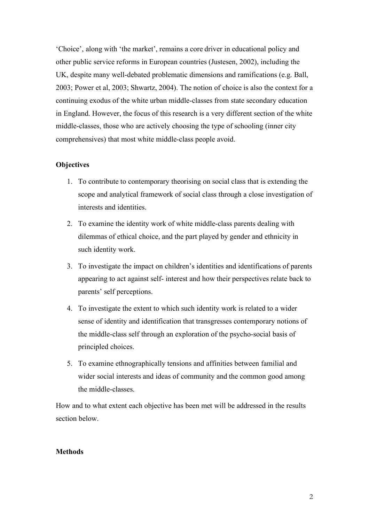'Choice', along with 'the market', remains a core driver in educational policy and other public service reforms in European countries (Justesen, 2002), including the UK, despite many well-debated problematic dimensions and ramifications (e.g. Ball, 2003; Power et al, 2003; Shwartz, 2004). The notion of choice is also the context for a continuing exodus of the white urban middle-classes from state secondary education in England. However, the focus of this research is a very different section of the white middle-classes, those who are actively choosing the type of schooling (inner city comprehensives) that most white middle-class people avoid.

## **Objectives**

- 1. To contribute to contemporary theorising on social class that is extending the scope and analytical framework of social class through a close investigation of interests and identities.
- 2. To examine the identity work of white middle-class parents dealing with dilemmas of ethical choice, and the part played by gender and ethnicity in such identity work.
- 3. To investigate the impact on children's identities and identifications of parents appearing to act against self- interest and how their perspectives relate back to parents' self perceptions.
- 4. To investigate the extent to which such identity work is related to a wider sense of identity and identification that transgresses contemporary notions of the middle-class self through an exploration of the psycho-social basis of principled choices.
- 5. To examine ethnographically tensions and affinities between familial and wider social interests and ideas of community and the common good among the middle-classes.

How and to what extent each objective has been met will be addressed in the results section below.

## **Methods**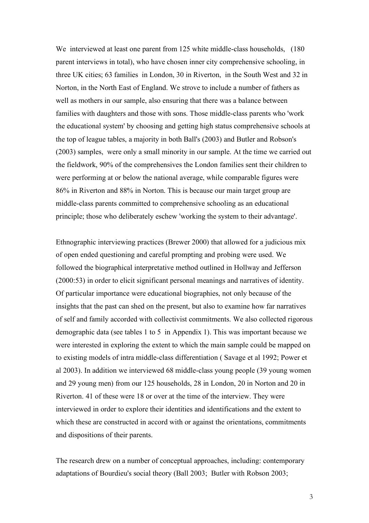We interviewed at least one parent from 125 white middle-class households, (180) parent interviews in total), who have chosen inner city comprehensive schooling, in three UK cities; 63 families in London, 30 in Riverton, in the South West and 32 in Norton, in the North East of England. We strove to include a number of fathers as well as mothers in our sample, also ensuring that there was a balance between families with daughters and those with sons. Those middle-class parents who 'work the educational system' by choosing and getting high status comprehensive schools at the top of league tables, a majority in both Ball's (2003) and Butler and Robson's (2003) samples, were only a small minority in our sample. At the time we carried out the fieldwork, 90% of the comprehensives the London families sent their children to were performing at or below the national average, while comparable figures were 86% in Riverton and 88% in Norton. This is because our main target group are middle-class parents committed to comprehensive schooling as an educational principle; those who deliberately eschew 'working the system to their advantage'.

Ethnographic interviewing practices (Brewer 2000) that allowed for a judicious mix of open ended questioning and careful prompting and probing were used. We followed the biographical interpretative method outlined in Hollway and Jefferson (2000:53) in order to elicit significant personal meanings and narratives of identity. Of particular importance were educational biographies, not only because of the insights that the past can shed on the present, but also to examine how far narratives of self and family accorded with collectivist commitments. We also collected rigorous demographic data (see tables 1 to 5 in Appendix 1). This was important because we were interested in exploring the extent to which the main sample could be mapped on to existing models of intra middle-class differentiation ( Savage et al 1992; Power et al 2003). In addition we interviewed 68 middle-class young people (39 young women and 29 young men) from our 125 households, 28 in London, 20 in Norton and 20 in Riverton. 41 of these were 18 or over at the time of the interview. They were interviewed in order to explore their identities and identifications and the extent to which these are constructed in accord with or against the orientations, commitments and dispositions of their parents.

The research drew on a number of conceptual approaches, including: contemporary adaptations of Bourdieu's social theory (Ball 2003; Butler with Robson 2003;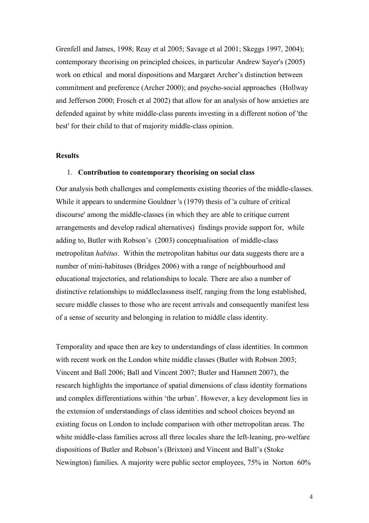Grenfell and James, 1998; Reay et al 2005; Savage et al 2001; Skeggs 1997, 2004); contemporary theorising on principled choices, in particular Andrew Sayer's (2005) work on ethical and moral dispositions and Margaret Archer's distinction between commitment and preference (Archer 2000); and psycho-social approaches (Hollway and Jefferson 2000; Frosch et al 2002) that allow for an analysis of how anxieties are defended against by white middle-class parents investing in a different notion of 'the best' for their child to that of majority middle-class opinion.

## **Results**

#### 1. **Contribution to contemporary theorising on social class**

Our analysis both challenges and complements existing theories of the middle-classes. While it appears to undermine Gouldner 's (1979) thesis of 'a culture of critical discourse' among the middle-classes (in which they are able to critique current arrangements and develop radical alternatives) findings provide support for, while adding to, Butler with Robson's (2003) conceptualisation of middle-class metropolitan *habitus*. Within the metropolitan habitus our data suggests there are a number of mini-habituses (Bridges 2006) with a range of neighbourhood and educational trajectories, and relationships to locale. There are also a number of distinctive relationships to middleclassness itself, ranging from the long established, secure middle classes to those who are recent arrivals and consequently manifest less of a sense of security and belonging in relation to middle class identity.

Temporality and space then are key to understandings of class identities. In common with recent work on the London white middle classes (Butler with Robson 2003; Vincent and Ball 2006; Ball and Vincent 2007; Butler and Hamnett 2007), the research highlights the importance of spatial dimensions of class identity formations and complex differentiations within 'the urban'. However, a key development lies in the extension of understandings of class identities and school choices beyond an existing focus on London to include comparison with other metropolitan areas. The white middle-class families across all three locales share the left-leaning, pro-welfare dispositions of Butler and Robson's (Brixton) and Vincent and Ball's (Stoke Newington) families. A majority were public sector employees, 75% in Norton 60%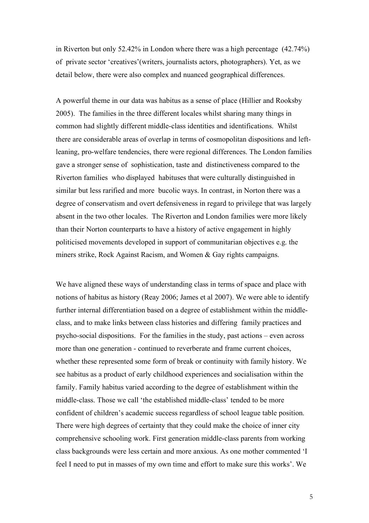in Riverton but only 52.42% in London where there was a high percentage (42.74%) of private sector 'creatives'(writers, journalists actors, photographers). Yet, as we detail below, there were also complex and nuanced geographical differences.

A powerful theme in our data was habitus as a sense of place (Hillier and Rooksby 2005). The families in the three different locales whilst sharing many things in common had slightly different middle-class identities and identifications. Whilst there are considerable areas of overlap in terms of cosmopolitan dispositions and leftleaning, pro-welfare tendencies, there were regional differences. The London families gave a stronger sense of sophistication, taste and distinctiveness compared to the Riverton families who displayed habituses that were culturally distinguished in similar but less rarified and more bucolic ways. In contrast, in Norton there was a degree of conservatism and overt defensiveness in regard to privilege that was largely absent in the two other locales. The Riverton and London families were more likely than their Norton counterparts to have a history of active engagement in highly politicised movements developed in support of communitarian objectives e.g. the miners strike, Rock Against Racism, and Women & Gay rights campaigns.

We have aligned these ways of understanding class in terms of space and place with notions of habitus as history (Reay 2006; James et al 2007). We were able to identify further internal differentiation based on a degree of establishment within the middleclass, and to make links between class histories and differing family practices and psycho-social dispositions. For the families in the study, past actions – even across more than one generation - continued to reverberate and frame current choices, whether these represented some form of break or continuity with family history. We see habitus as a product of early childhood experiences and socialisation within the family. Family habitus varied according to the degree of establishment within the middle-class. Those we call 'the established middle-class' tended to be more confident of children's academic success regardless of school league table position. There were high degrees of certainty that they could make the choice of inner city comprehensive schooling work. First generation middle-class parents from working class backgrounds were less certain and more anxious. As one mother commented 'I feel I need to put in masses of my own time and effort to make sure this works'. We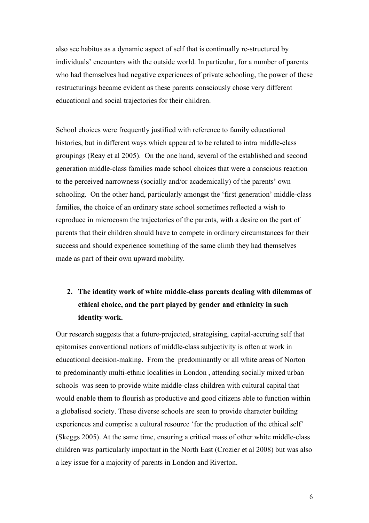also see habitus as a dynamic aspect of self that is continually re-structured by individuals' encounters with the outside world. In particular, for a number of parents who had themselves had negative experiences of private schooling, the power of these restructurings became evident as these parents consciously chose very different educational and social trajectories for their children.

School choices were frequently justified with reference to family educational histories, but in different ways which appeared to be related to intra middle-class groupings (Reay et al 2005). On the one hand, several of the established and second generation middle-class families made school choices that were a conscious reaction to the perceived narrowness (socially and/or academically) of the parents' own schooling. On the other hand, particularly amongst the 'first generation' middle-class families, the choice of an ordinary state school sometimes reflected a wish to reproduce in microcosm the trajectories of the parents, with a desire on the part of parents that their children should have to compete in ordinary circumstances for their success and should experience something of the same climb they had themselves made as part of their own upward mobility.

## **2. The identity work of white middle-class parents dealing with dilemmas of ethical choice, and the part played by gender and ethnicity in such identity work.**

Our research suggests that a future-projected, strategising, capital-accruing self that epitomises conventional notions of middle-class subjectivity is often at work in educational decision-making. From the predominantly or all white areas of Norton to predominantly multi-ethnic localities in London , attending socially mixed urban schools was seen to provide white middle-class children with cultural capital that would enable them to flourish as productive and good citizens able to function within a globalised society. These diverse schools are seen to provide character building experiences and comprise a cultural resource 'for the production of the ethical self' (Skeggs 2005). At the same time, ensuring a critical mass of other white middle-class children was particularly important in the North East (Crozier et al 2008) but was also a key issue for a majority of parents in London and Riverton.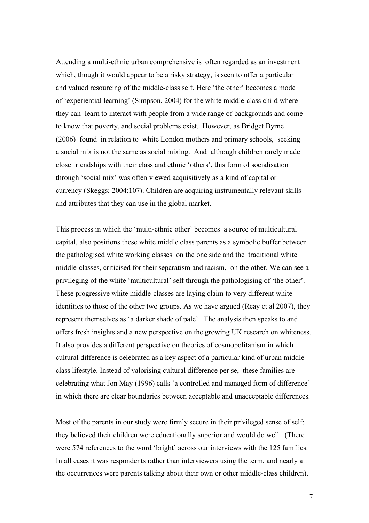Attending a multi-ethnic urban comprehensive is often regarded as an investment which, though it would appear to be a risky strategy, is seen to offer a particular and valued resourcing of the middle-class self. Here 'the other' becomes a mode of 'experiential learning' (Simpson, 2004) for the white middle-class child where they can learn to interact with people from a wide range of backgrounds and come to know that poverty, and social problems exist. However, as Bridget Byrne (2006) found in relation to white London mothers and primary schools, seeking a social mix is not the same as social mixing. And although children rarely made close friendships with their class and ethnic 'others', this form of socialisation through 'social mix' was often viewed acquisitively as a kind of capital or currency (Skeggs; 2004:107). Children are acquiring instrumentally relevant skills and attributes that they can use in the global market.

This process in which the 'multi-ethnic other' becomes a source of multicultural capital, also positions these white middle class parents as a symbolic buffer between the pathologised white working classes on the one side and the traditional white middle-classes, criticised for their separatism and racism, on the other. We can see a privileging of the white 'multicultural' self through the pathologising of 'the other'. These progressive white middle-classes are laying claim to very different white identities to those of the other two groups. As we have argued (Reay et al 2007), they represent themselves as 'a darker shade of pale'. The analysis then speaks to and offers fresh insights and a new perspective on the growing UK research on whiteness. It also provides a different perspective on theories of cosmopolitanism in which cultural difference is celebrated as a key aspect of a particular kind of urban middleclass lifestyle. Instead of valorising cultural difference per se, these families are celebrating what Jon May (1996) calls 'a controlled and managed form of difference' in which there are clear boundaries between acceptable and unacceptable differences.

Most of the parents in our study were firmly secure in their privileged sense of self: they believed their children were educationally superior and would do well. (There were 574 references to the word 'bright' across our interviews with the 125 families. In all cases it was respondents rather than interviewers using the term, and nearly all the occurrences were parents talking about their own or other middle-class children).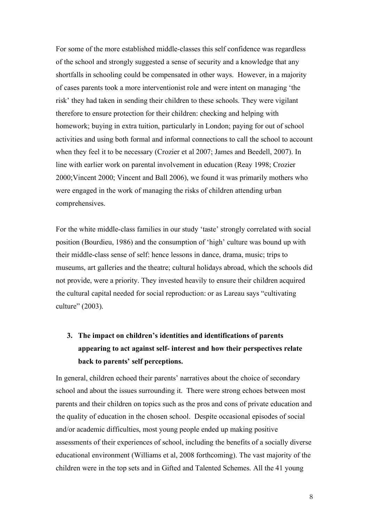For some of the more established middle-classes this self confidence was regardless of the school and strongly suggested a sense of security and a knowledge that any shortfalls in schooling could be compensated in other ways. However, in a majority of cases parents took a more interventionist role and were intent on managing 'the risk' they had taken in sending their children to these schools. They were vigilant therefore to ensure protection for their children: checking and helping with homework; buying in extra tuition, particularly in London; paying for out of school activities and using both formal and informal connections to call the school to account when they feel it to be necessary (Crozier et al 2007; James and Beedell, 2007). In line with earlier work on parental involvement in education (Reay 1998; Crozier 2000;Vincent 2000; Vincent and Ball 2006), we found it was primarily mothers who were engaged in the work of managing the risks of children attending urban comprehensives.

For the white middle-class families in our study 'taste' strongly correlated with social position (Bourdieu, 1986) and the consumption of 'high' culture was bound up with their middle-class sense of self: hence lessons in dance, drama, music; trips to museums, art galleries and the theatre; cultural holidays abroad, which the schools did not provide, were a priority. They invested heavily to ensure their children acquired the cultural capital needed for social reproduction: or as Lareau says "cultivating culture" (2003).

# **3. The impact on children's identities and identifications of parents appearing to act against self- interest and how their perspectives relate back to parents' self perceptions.**

In general, children echoed their parents' narratives about the choice of secondary school and about the issues surrounding it. There were strong echoes between most parents and their children on topics such as the pros and cons of private education and the quality of education in the chosen school. Despite occasional episodes of social and/or academic difficulties, most young people ended up making positive assessments of their experiences of school, including the benefits of a socially diverse educational environment (Williams et al, 2008 forthcoming). The vast majority of the children were in the top sets and in Gifted and Talented Schemes. All the 41 young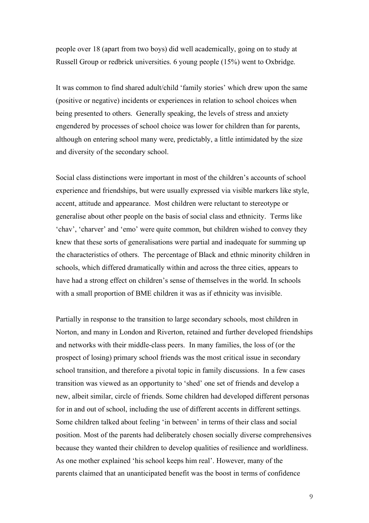people over 18 (apart from two boys) did well academically, going on to study at Russell Group or redbrick universities. 6 young people (15%) went to Oxbridge.

It was common to find shared adult/child 'family stories' which drew upon the same (positive or negative) incidents or experiences in relation to school choices when being presented to others. Generally speaking, the levels of stress and anxiety engendered by processes of school choice was lower for children than for parents, although on entering school many were, predictably, a little intimidated by the size and diversity of the secondary school.

Social class distinctions were important in most of the children's accounts of school experience and friendships, but were usually expressed via visible markers like style, accent, attitude and appearance. Most children were reluctant to stereotype or generalise about other people on the basis of social class and ethnicity. Terms like 'chav', 'charver' and 'emo' were quite common, but children wished to convey they knew that these sorts of generalisations were partial and inadequate for summing up the characteristics of others. The percentage of Black and ethnic minority children in schools, which differed dramatically within and across the three cities, appears to have had a strong effect on children's sense of themselves in the world. In schools with a small proportion of BME children it was as if ethnicity was invisible.

Partially in response to the transition to large secondary schools, most children in Norton, and many in London and Riverton, retained and further developed friendships and networks with their middle-class peers. In many families, the loss of (or the prospect of losing) primary school friends was the most critical issue in secondary school transition, and therefore a pivotal topic in family discussions. In a few cases transition was viewed as an opportunity to 'shed' one set of friends and develop a new, albeit similar, circle of friends. Some children had developed different personas for in and out of school, including the use of different accents in different settings. Some children talked about feeling 'in between' in terms of their class and social position. Most of the parents had deliberately chosen socially diverse comprehensives because they wanted their children to develop qualities of resilience and worldliness. As one mother explained 'his school keeps him real'. However, many of the parents claimed that an unanticipated benefit was the boost in terms of confidence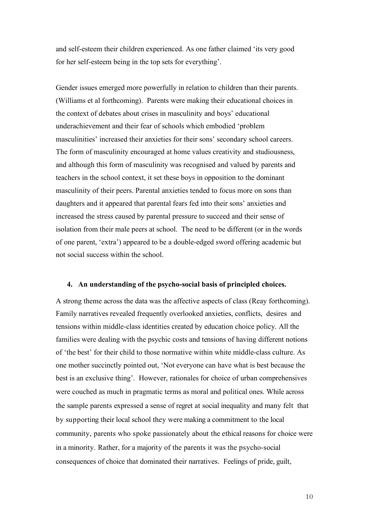and self-esteem their children experienced. As one father claimed 'its very good for her self-esteem being in the top sets for everything'.

Gender issues emerged more powerfully in relation to children than their parents. (Williams et al forthcoming). Parents were making their educational choices in the context of debates about crises in masculinity and boys' educational underachievement and their fear of schools which embodied 'problem masculinities' increased their anxieties for their sons' secondary school careers. The form of masculinity encouraged at home values creativity and studiousness, and although this form of masculinity was recognised and valued by parents and teachers in the school context, it set these boys in opposition to the dominant masculinity of their peers. Parental anxieties tended to focus more on sons than daughters and it appeared that parental fears fed into their sons' anxieties and increased the stress caused by parental pressure to succeed and their sense of isolation from their male peers at school. The need to be different (or in the words of one parent, 'extra') appeared to be a double-edged sword offering academic but not social success within the school.

#### **4. An understanding of the psycho-social basis of principled choices.**

A strong theme across the data was the affective aspects of class (Reay forthcoming). Family narratives revealed frequently overlooked anxieties, conflicts, desires and tensions within middle-class identities created by education choice policy. All the families were dealing with the psychic costs and tensions of having different notions of 'the best' for their child to those normative within white middle-class culture. As one mother succinctly pointed out, 'Not everyone can have what is best because the best is an exclusive thing'. However, rationales for choice of urban comprehensives were couched as much in pragmatic terms as moral and political ones. While across the sample parents expressed a sense of regret at social inequality and many felt that by supporting their local school they were making a commitment to the local community, parents who spoke passionately about the ethical reasons for choice were in a minority. Rather, for a majority of the parents it was the psycho-social consequences of choice that dominated their narratives. Feelings of pride, guilt,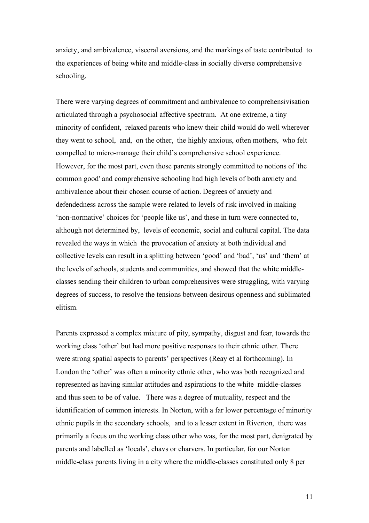anxiety, and ambivalence, visceral aversions, and the markings of taste contributed to the experiences of being white and middle-class in socially diverse comprehensive schooling.

There were varying degrees of commitment and ambivalence to comprehensivisation articulated through a psychosocial affective spectrum. At one extreme, a tiny minority of confident, relaxed parents who knew their child would do well wherever they went to school, and, on the other, the highly anxious, often mothers, who felt compelled to micro-manage their child's comprehensive school experience. However, for the most part, even those parents strongly committed to notions of 'the common good' and comprehensive schooling had high levels of both anxiety and ambivalence about their chosen course of action. Degrees of anxiety and defendedness across the sample were related to levels of risk involved in making 'non-normative' choices for 'people like us', and these in turn were connected to, although not determined by, levels of economic, social and cultural capital. The data revealed the ways in which the provocation of anxiety at both individual and collective levels can result in a splitting between 'good' and 'bad', 'us' and 'them' at the levels of schools, students and communities, and showed that the white middleclasses sending their children to urban comprehensives were struggling, with varying degrees of success, to resolve the tensions between desirous openness and sublimated elitism.

Parents expressed a complex mixture of pity, sympathy, disgust and fear, towards the working class 'other' but had more positive responses to their ethnic other. There were strong spatial aspects to parents' perspectives (Reay et al forthcoming). In London the 'other' was often a minority ethnic other, who was both recognized and represented as having similar attitudes and aspirations to the white middle-classes and thus seen to be of value. There was a degree of mutuality, respect and the identification of common interests. In Norton, with a far lower percentage of minority ethnic pupils in the secondary schools, and to a lesser extent in Riverton, there was primarily a focus on the working class other who was, for the most part, denigrated by parents and labelled as 'locals', chavs or charvers. In particular, for our Norton middle-class parents living in a city where the middle-classes constituted only 8 per

11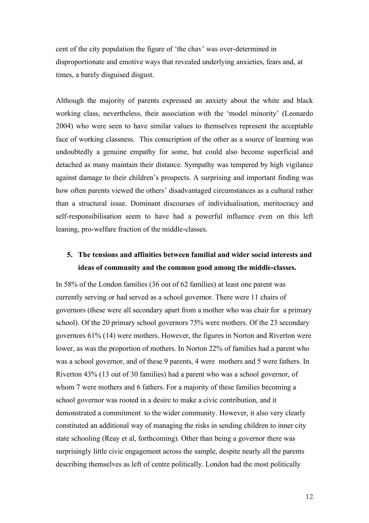cent of the city population the figure of 'the chav' was over-determined in disproportionate and emotive ways that revealed underlying anxieties, fears and, at times, a barely disguised disgust.

Although the majority of parents expressed an anxiety about the white and black working class, nevertheless, their association with the 'model minority' (Leonardo 2004) who were seen to have similar values to themselves represent the acceptable face of working classness. This conscription of the other as a source of learning was undoubtedly a genuine empathy for some, but could also become superficial and detached as many maintain their distance. Sympathy was tempered by high vigilance against damage to their children's prospects. A surprising and important finding was how often parents viewed the others' disadvantaged circumstances as a cultural rather than a structural issue. Dominant discourses of individualisation, meritocracy and self-responsibilisation seem to have had a powerful influence even on this left leaning, pro-welfare fraction of the middle-classes.

## **5. The tensions and affinities between familial and wider social interests and ideas of community and the common good among the middle-classes.**

In 58% of the London families (36 out of 62 families) at least one parent was currently serving or had served as a school governor. There were 11 chairs of governors (these were all secondary apart from a mother who was chair for a primary school). Of the 20 primary school governors 75% were mothers. Of the 23 secondary governors 61% (14) were mothers. However, the figures in Norton and Riverton were lower, as was the proportion of mothers. In Norton 22% of families had a parent who was a school governor, and of these 9 parents, 4 were mothers and 5 were fathers. In Riverton 43% (13 out of 30 families) had a parent who was a school governor, of whom 7 were mothers and 6 fathers. For a majority of these families becoming a school governor was rooted in a desire to make a civic contribution, and it demonstrated a commitment to the wider community. However, it also very clearly constituted an additional way of managing the risks in sending children to inner city state schooling (Reay et al, forthcoming). Other than being a governor there was surprisingly little civic engagement across the sample, despite nearly all the parents describing themselves as left of centre politically. London had the most politically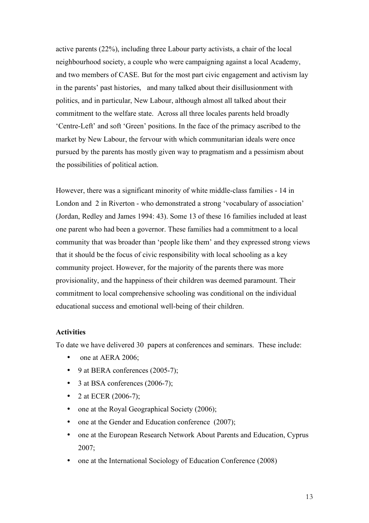active parents (22%), including three Labour party activists, a chair of the local neighbourhood society, a couple who were campaigning against a local Academy, and two members of CASE. But for the most part civic engagement and activism lay in the parents' past histories, and many talked about their disillusionment with politics, and in particular, New Labour, although almost all talked about their commitment to the welfare state. Across all three locales parents held broadly 'Centre-Left' and soft 'Green' positions. In the face of the primacy ascribed to the market by New Labour, the fervour with which communitarian ideals were once pursued by the parents has mostly given way to pragmatism and a pessimism about the possibilities of political action.

However, there was a significant minority of white middle-class families - 14 in London and 2 in Riverton - who demonstrated a strong 'vocabulary of association' (Jordan, Redley and James 1994: 43). Some 13 of these 16 families included at least one parent who had been a governor. These families had a commitment to a local community that was broader than 'people like them' and they expressed strong views that it should be the focus of civic responsibility with local schooling as a key community project. However, for the majority of the parents there was more provisionality, and the happiness of their children was deemed paramount. Their commitment to local comprehensive schooling was conditional on the individual educational success and emotional well-being of their children.

## **Activities**

To date we have delivered 30 papers at conferences and seminars. These include:

- one at AERA 2006;
- 9 at BERA conferences (2005-7);
- 3 at BSA conferences (2006-7);
- 2 at ECER (2006-7);
- one at the Royal Geographical Society (2006);
- one at the Gender and Education conference (2007);
- one at the European Research Network About Parents and Education, Cyprus 2007;
- one at the International Sociology of Education Conference (2008)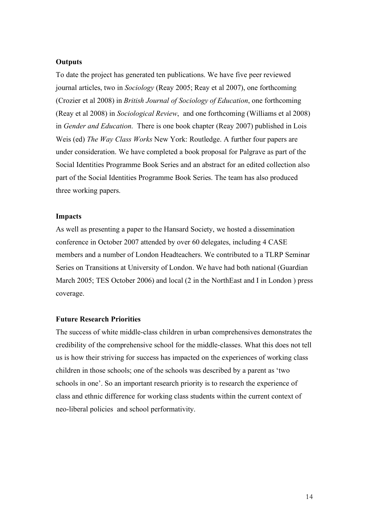### **Outputs**

To date the project has generated ten publications. We have five peer reviewed journal articles, two in *Sociology* (Reay 2005; Reay et al 2007), one forthcoming (Crozier et al 2008) in *British Journal of Sociology of Education*, one forthcoming (Reay et al 2008) in *Sociological Review*, and one forthcoming (Williams et al 2008) in *Gender and Education*. There is one book chapter (Reay 2007) published in Lois Weis (ed) *The Way Class Works* New York: Routledge. A further four papers are under consideration. We have completed a book proposal for Palgrave as part of the Social Identities Programme Book Series and an abstract for an edited collection also part of the Social Identities Programme Book Series. The team has also produced three working papers.

#### **Impacts**

As well as presenting a paper to the Hansard Society, we hosted a dissemination conference in October 2007 attended by over 60 delegates, including 4 CASE members and a number of London Headteachers. We contributed to a TLRP Seminar Series on Transitions at University of London. We have had both national (Guardian March 2005; TES October 2006) and local (2 in the NorthEast and I in London ) press coverage.

#### **Future Research Priorities**

The success of white middle-class children in urban comprehensives demonstrates the credibility of the comprehensive school for the middle-classes. What this does not tell us is how their striving for success has impacted on the experiences of working class children in those schools; one of the schools was described by a parent as 'two schools in one'. So an important research priority is to research the experience of class and ethnic difference for working class students within the current context of neo-liberal policies and school performativity.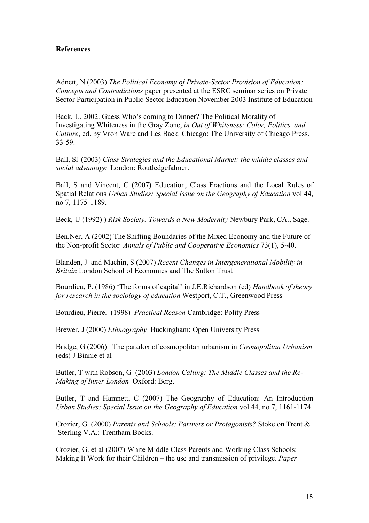## **References**

Adnett, N (2003) *The Political Economy of Private-Sector Provision of Education: Concepts and Contradictions* paper presented at the ESRC seminar series on Private Sector Participation in Public Sector Education November 2003 Institute of Education

Back, L. 2002. Guess Who's coming to Dinner? The Political Morality of Investigating Whiteness in the Gray Zone, *in Out of Whiteness: Color, Politics, and Culture*, ed. by Vron Ware and Les Back. Chicago: The University of Chicago Press. 33-59.

Ball, SJ (2003) *Class Strategies and the Educational Market: the middle classes and social advantage* London: Routledgefalmer.

Ball, S and Vincent, C (2007) Education, Class Fractions and the Local Rules of Spatial Relations *Urban Studies: Special Issue on the Geography of Education* vol 44, no 7, 1175-1189.

Beck, U (1992) ) *Risk Society: Towards a New Modernity* Newbury Park, CA., Sage.

Ben.Ner, A (2002) The Shifting Boundaries of the Mixed Economy and the Future of the Non-profit Sector *Annals of Public and Cooperative Economics* 73(1), 5-40.

Blanden, J and Machin, S (2007) *Recent Changes in Intergenerational Mobility in Britain* London School of Economics and The Sutton Trust

Bourdieu, P. (1986) 'The forms of capital' in J.E.Richardson (ed) *Handbook of theory for research in the sociology of education* Westport, C.T., Greenwood Press

Bourdieu, Pierre. (1998) *Practical Reason* Cambridge: Polity Press

Brewer, J (2000) *Ethnography* Buckingham: Open University Press

Bridge, G (2006) The paradox of cosmopolitan urbanism in *Cosmopolitan Urbanism* (eds) J Binnie et al

Butler, T with Robson, G (2003) *London Calling: The Middle Classes and the Re-Making of Inner London* Oxford: Berg.

Butler, T and Hamnett, C (2007) The Geography of Education: An Introduction *Urban Studies: Special Issue on the Geography of Education* vol 44, no 7, 1161-1174.

Crozier, G. (2000) *Parents and Schools: Partners or Protagonists?* Stoke on Trent & Sterling V.A.: Trentham Books.

Crozier, G. et al (2007) White Middle Class Parents and Working Class Schools: Making It Work for their Children – the use and transmission of privilege. *Paper*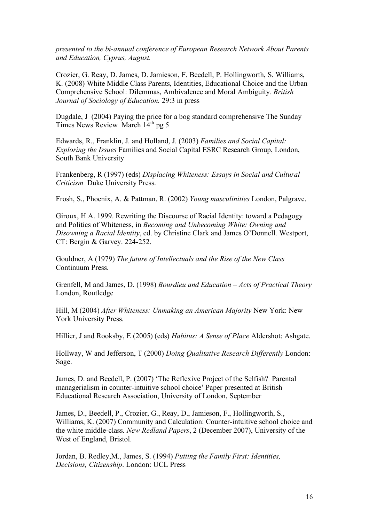*presented to the bi-annual conference of European Research Network About Parents and Education, Cyprus, August.*

Crozier, G. Reay, D. James, D. Jamieson, F. Beedell, P. Hollingworth, S. Williams, K. (2008) White Middle Class Parents, Identities, Educational Choice and the Urban Comprehensive School: Dilemmas, Ambivalence and Moral Ambiguity*. British Journal of Sociology of Education.* 29:3 in press

Dugdale, J (2004) Paying the price for a bog standard comprehensive The Sunday Times News Review March 14<sup>th</sup> pg 5

Edwards, R., Franklin, J. and Holland, J. (2003) *Families and Social Capital: Exploring the Issues* Families and Social Capital ESRC Research Group, London, South Bank University

Frankenberg, R (1997) (eds) *Displacing Whiteness: Essays in Social and Cultural Criticism* Duke University Press.

Frosh, S., Phoenix, A. & Pattman, R. (2002) *Young masculinities* London, Palgrave.

Giroux, H A. 1999. Rewriting the Discourse of Racial Identity: toward a Pedagogy and Politics of Whiteness, in *Becoming and Unbecoming White: Owning and Disowning a Racial Identity*, ed. by Christine Clark and James O'Donnell. Westport, CT: Bergin & Garvey. 224-252.

Gouldner, A (1979) *The future of Intellectuals and the Rise of the New Class* Continuum Press.

Grenfell, M and James, D. (1998) *Bourdieu and Education – Acts of Practical Theory* London, Routledge

Hill, M (2004) *After Whiteness: Unmaking an American Majority* New York: New York University Press.

Hillier, J and Rooksby, E (2005) (eds) *Habitus: A Sense of Place* Aldershot: Ashgate.

Hollway, W and Jefferson, T (2000) *Doing Qualitative Research Differently* London: Sage.

James, D. and Beedell, P. (2007) 'The Reflexive Project of the Selfish? Parental managerialism in counter-intuitive school choice' Paper presented at British Educational Research Association, University of London, September

James, D., Beedell, P., Crozier, G., Reay, D., Jamieson, F., Hollingworth, S., Williams, K. (2007) Community and Calculation: Counter-intuitive school choice and the white middle-class. *New Redland Papers*, 2 (December 2007), University of the West of England, Bristol.

Jordan, B. Redley,M., James, S. (1994) *Putting the Family First: Identities, Decisions, Citizenship*. London: UCL Press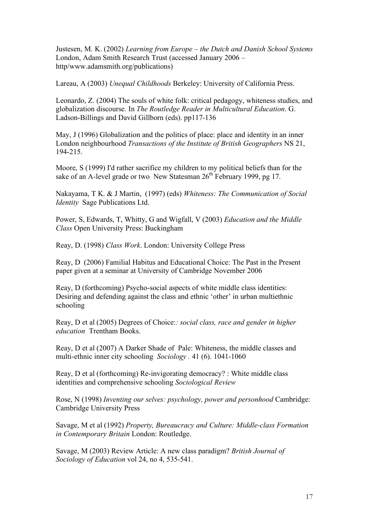Justesen, M. K. (2002) *Learning from Europe – the Dutch and Danish School Systems* London, Adam Smith Research Trust (accessed January 2006 – http/www.adamsmith.org/publications)

Lareau, A (2003) *Unequal Childhoods* Berkeley: University of California Press.

Leonardo, Z. (2004) The souls of white folk: critical pedagogy, whiteness studies, and globalization discourse. In *The Routledge Reader in Multicultural Education*. G. Ladson-Billings and David Gillborn (eds). pp117-136

May, J (1996) Globalization and the politics of place: place and identity in an inner London neighbourhood *Transactions of the Institute of British Geographers* NS 21, 194-215.

Moore, S (1999) I'd rather sacrifice my children to my political beliefs than for the sake of an A-level grade or two New Statesman  $26<sup>th</sup>$  February 1999, pg 17.

Nakayama, T K. & J Martin, (1997) (eds) *Whiteness: The Communication of Social Identity* Sage Publications Ltd.

Power, S, Edwards, T, Whitty, G and Wigfall, V (2003) *Education and the Middle Class* Open University Press: Buckingham

Reay, D. (1998) *Class Work*. London: University College Press

Reay, D (2006) Familial Habitus and Educational Choice: The Past in the Present paper given at a seminar at University of Cambridge November 2006

Reay, D (forthcoming) Psycho-social aspects of white middle class identities: Desiring and defending against the class and ethnic 'other' in urban multiethnic schooling

Reay, D et al (2005) Degrees of Choice:*: social class, race and gender in higher education* Trentham Books.

Reay, D et al (2007) A Darker Shade of Pale: Whiteness, the middle classes and multi-ethnic inner city schooling *Sociology .* 41 (6). 1041-1060

Reay, D et al (forthcoming) Re-invigorating democracy? : White middle class identities and comprehensive schooling *Sociological Review*

Rose, N (1998) *Inventing our selves: psychology, power and personhood* Cambridge: Cambridge University Press

Savage, M et al (1992) *Property, Bureaucracy and Culture: Middle-class Formation in Contemporary Britain* London: Routledge.

Savage, M (2003) Review Article: A new class paradigm? *British Journal of Sociology of Education* vol 24, no 4, 535-541.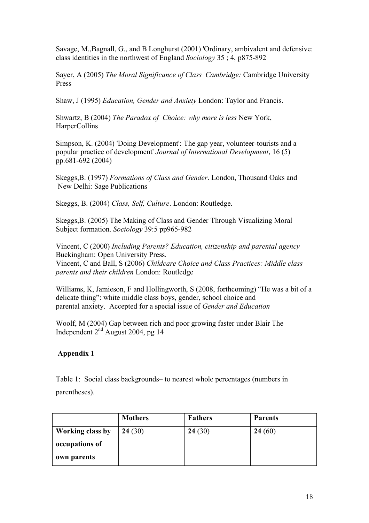Savage, M.,Bagnall, G., and B Longhurst (2001) 'Ordinary, ambivalent and defensive: class identities in the northwest of England *Sociology* 35 ; 4, p875-892

Sayer, A (2005) *The Moral Significance of Class Cambridge:* Cambridge University Press

Shaw, J (1995) *Education, Gender and Anxiety* London: Taylor and Francis.

Shwartz, B (2004) *The Paradox of Choice: why more is less* New York, HarperCollins

Simpson, K. (2004) 'Doing Development': The gap year, volunteer-tourists and a popular practice of development' *Journal of International Development*, 16 (5) pp.681-692 (2004)

Skeggs,B. (1997) *Formations of Class and Gender*. London, Thousand Oaks and New Delhi: Sage Publications

Skeggs, B. (2004) *Class, Self, Culture*. London: Routledge.

Skeggs,B. (2005) The Making of Class and Gender Through Visualizing Moral Subject formation. *Sociology* 39:5 pp965-982

Vincent, C (2000) *Including Parents? Education, citizenship and parental agency* Buckingham: Open University Press. Vincent, C and Ball, S (2006) *Childcare Choice and Class Practices: Middle class parents and their children* London: Routledge

Williams, K, Jamieson, F and Hollingworth, S (2008, forthcoming) "He was a bit of a delicate thing": white middle class boys, gender, school choice and parental anxiety. Accepted for a special issue of *Gender and Education*

Woolf, M (2004) Gap between rich and poor growing faster under Blair The Independent 2nd August 2004, pg 14

## **Appendix 1**

Table 1: Social class backgrounds– to nearest whole percentages (numbers in parentheses).

|                         | <b>Mothers</b> | <b>Fathers</b> | <b>Parents</b> |
|-------------------------|----------------|----------------|----------------|
| <b>Working class by</b> | 24(30)         | 24(30)         | 24(60)         |
| occupations of          |                |                |                |
| own parents             |                |                |                |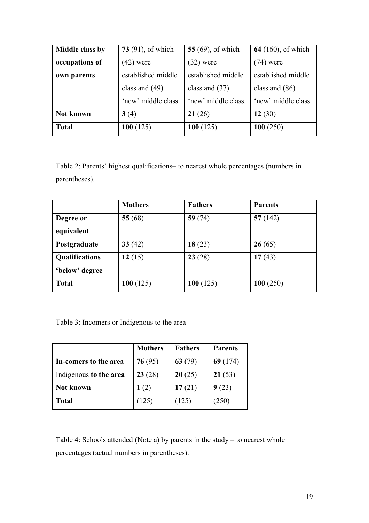| Middle class by | 73 $(91)$ , of which | <b>55</b> (69), of which | <b>64</b> (160), of which |
|-----------------|----------------------|--------------------------|---------------------------|
| occupations of  | $(42)$ were          | $(32)$ were              | $(74)$ were               |
| own parents     | established middle   | established middle       | established middle        |
|                 | class and $(49)$     | class and $(37)$         | class and $(86)$          |
|                 | 'new' middle class.  | 'new' middle class.      | 'new' middle class.       |
| Not known       | 3(4)                 | 21(26)                   | 12 $(30)$                 |
| <b>Total</b>    | 100(125)             | 100(125)                 | 100(250)                  |

Table 2: Parents' highest qualifications– to nearest whole percentages (numbers in parentheses).

|                       | <b>Mothers</b> | <b>Fathers</b> | <b>Parents</b> |
|-----------------------|----------------|----------------|----------------|
| Degree or             | 55 $(68)$      | 59 $(74)$      | 57(142)        |
| equivalent            |                |                |                |
| Postgraduate          | 33(42)         | 18(23)         | 26(65)         |
| <b>Qualifications</b> | 12(15)         | 23(28)         | 17(43)         |
| 'below' degree        |                |                |                |
| <b>Total</b>          | 100(125)       | 100(125)       | 100(250)       |

Table 3: Incomers or Indigenous to the area

|                        | <b>Mothers</b> | <b>Fathers</b> | <b>Parents</b> |
|------------------------|----------------|----------------|----------------|
| In-comers to the area  | 76(95)         | 63 $(79)$      | 69(174)        |
| Indigenous to the area | 23(28)         | 20(25)         | 21(53)         |
| <b>Not known</b>       | 1(2)           | 17(21)         | 9(23)          |
| <b>Total</b>           | (125)          | (125)          | (250)          |

Table 4: Schools attended (Note a) by parents in the study – to nearest whole percentages (actual numbers in parentheses).